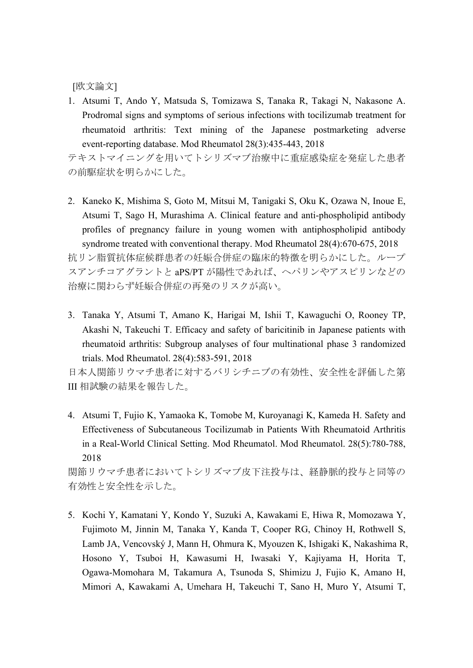[欧文論文]

1. Atsumi T, Ando Y, Matsuda S, Tomizawa S, Tanaka R, Takagi N, Nakasone A. Prodromal signs and symptoms of serious infections with tocilizumab treatment for rheumatoid arthritis: Text mining of the Japanese postmarketing adverse event-reporting database. Mod Rheumatol 28(3):435-443, 2018

テキストマイニングを用いてトシリズマブ治療中に重症感染症を発症した患者 の前駆症状を明らかにした。

- 2. Kaneko K, Mishima S, Goto M, Mitsui M, Tanigaki S, Oku K, Ozawa N, Inoue E, Atsumi T, Sago H, Murashima A. Clinical feature and anti-phospholipid antibody profiles of pregnancy failure in young women with antiphospholipid antibody syndrome treated with conventional therapy. Mod Rheumatol 28(4):670-675, 2018 抗リン脂質抗体症候群患者の妊娠合併症の臨床的特徴を明らかにした。ループ スアンチコアグラントと aPS/PT が陽性であれば、ヘパリンやアスピリンなどの 治療に関わらず妊娠合併症の再発のリスクが高い。
- 3. Tanaka Y, Atsumi T, Amano K, Harigai M, Ishii T, Kawaguchi O, Rooney TP, Akashi N, Takeuchi T. Efficacy and safety of baricitinib in Japanese patients with rheumatoid arthritis: Subgroup analyses of four multinational phase 3 randomized trials. Mod Rheumatol. 28(4):583-591, 2018

日本人関節リウマチ患者に対するバリシチニブの有効性、安全性を評価した第 III 相試験の結果を報告した。

4. Atsumi T, Fujio K, Yamaoka K, Tomobe M, Kuroyanagi K, Kameda H. Safety and Effectiveness of Subcutaneous Tocilizumab in Patients With Rheumatoid Arthritis in a Real-World Clinical Setting. Mod Rheumatol. Mod Rheumatol. 28(5):780-788, 2018

関節リウマチ患者においてトシリズマブ皮下注投与は、経静脈的投与と同等の 有効性と安全性を示した。

5. Kochi Y, Kamatani Y, Kondo Y, Suzuki A, Kawakami E, Hiwa R, Momozawa Y, Fujimoto M, Jinnin M, Tanaka Y, Kanda T, Cooper RG, Chinoy H, Rothwell S, Lamb JA, Vencovský J, Mann H, Ohmura K, Myouzen K, Ishigaki K, Nakashima R, Hosono Y, Tsuboi H, Kawasumi H, Iwasaki Y, Kajiyama H, Horita T, Ogawa-Momohara M, Takamura A, Tsunoda S, Shimizu J, Fujio K, Amano H, Mimori A, Kawakami A, Umehara H, Takeuchi T, Sano H, Muro Y, Atsumi T,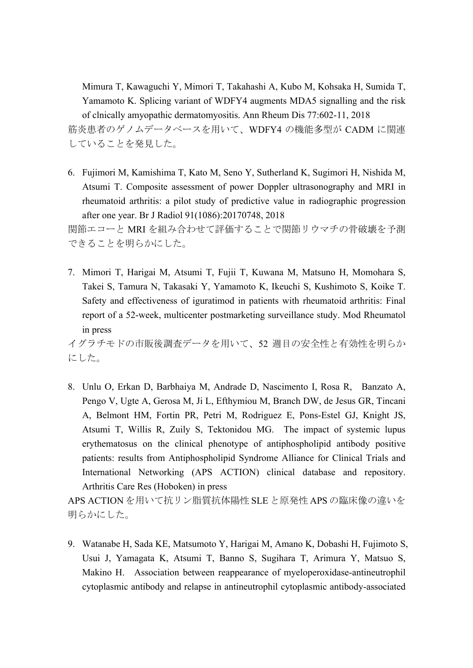Mimura T, Kawaguchi Y, Mimori T, Takahashi A, Kubo M, Kohsaka H, Sumida T, Yamamoto K. Splicing variant of WDFY4 augments MDA5 signalling and the risk of clnically amyopathic dermatomyositis. Ann Rheum Dis 77:602-11, 2018 筋炎患者のゲノムデータベースを用いて、WDFY4 の機能多型が CADM に関連 していることを発見した。

6. Fujimori M, Kamishima T, Kato M, Seno Y, Sutherland K, Sugimori H, Nishida M, Atsumi T. Composite assessment of power Doppler ultrasonography and MRI in rheumatoid arthritis: a pilot study of predictive value in radiographic progression after one year. Br J Radiol 91(1086):20170748, 2018

関節エコーと MRI を組み合わせて評価することで関節リウマチの骨破壊を予測 できることを明らかにした。

7. Mimori T, Harigai M, Atsumi T, Fujii T, Kuwana M, Matsuno H, Momohara S, Takei S, Tamura N, Takasaki Y, Yamamoto K, Ikeuchi S, Kushimoto S, Koike T. Safety and effectiveness of iguratimod in patients with rheumatoid arthritis: Final report of a 52-week, multicenter postmarketing surveillance study. Mod Rheumatol in press

イグラチモドの市販後調査データを用いて、52 週目の安全性と有効性を明らか にした。

8. Unlu O, Erkan D, Barbhaiya M, Andrade D, Nascimento I, Rosa R, Banzato A, Pengo V, Ugte A, Gerosa M, Ji L, Efthymiou M, Branch DW, de Jesus GR, Tincani A, Belmont HM, Fortin PR, Petri M, Rodriguez E, Pons-Estel GJ, Knight JS, Atsumi T, Willis R, Zuily S, Tektonidou MG. The impact of systemic lupus erythematosus on the clinical phenotype of antiphospholipid antibody positive patients: results from Antiphospholipid Syndrome Alliance for Clinical Trials and International Networking (APS ACTION) clinical database and repository. Arthritis Care Res (Hoboken) in press

APS ACTION を用いて抗リン脂質抗体陽性 SLE と原発性 APS の臨床像の違いを 明らかにした。

9. Watanabe H, Sada KE, Matsumoto Y, Harigai M, Amano K, Dobashi H, Fujimoto S, Usui J, Yamagata K, Atsumi T, Banno S, Sugihara T, Arimura Y, Matsuo S, Makino H. Association between reappearance of myeloperoxidase-antineutrophil cytoplasmic antibody and relapse in antineutrophil cytoplasmic antibody-associated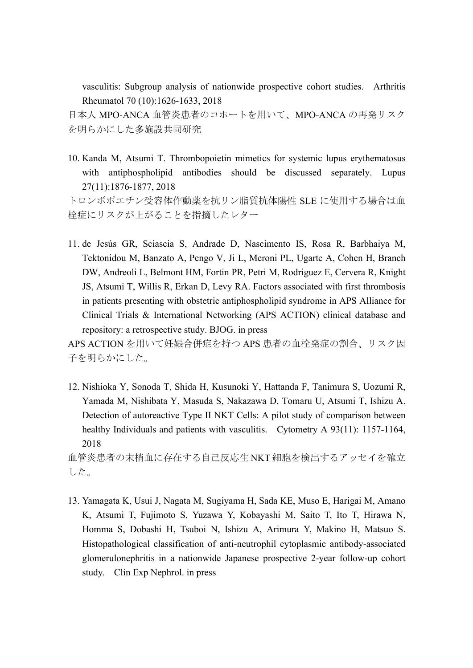vasculitis: Subgroup analysis of nationwide prospective cohort studies. Arthritis Rheumatol 70 (10):1626-1633, 2018

日本人 MPO-ANCA 血管炎患者のコホートを用いて、MPO-ANCA の再発リスク を明らかにした多施設共同研究

10. Kanda M, Atsumi T. Thrombopoietin mimetics for systemic lupus erythematosus with antiphospholipid antibodies should be discussed separately. Lupus 27(11):1876-1877, 2018

トロンボポエチン受容体作動薬を抗リン脂質抗体陽性 SLE に使用する場合は血 栓症にリスクが上がることを指摘したレター

11. de Jesús GR, Sciascia S, Andrade D, Nascimento IS, Rosa R, Barbhaiya M, Tektonidou M, Banzato A, Pengo V, Ji L, Meroni PL, Ugarte A, Cohen H, Branch DW, Andreoli L, Belmont HM, Fortin PR, Petri M, Rodriguez E, Cervera R, Knight JS, Atsumi T, Willis R, Erkan D, Levy RA. Factors associated with first thrombosis in patients presenting with obstetric antiphospholipid syndrome in APS Alliance for Clinical Trials & International Networking (APS ACTION) clinical database and repository: a retrospective study. BJOG. in press

APS ACTION を用いて妊娠合併症を持つ APS 患者の血栓発症の割合、リスク因 子を明らかにした。

12. Nishioka Y, Sonoda T, Shida H, Kusunoki Y, Hattanda F, Tanimura S, Uozumi R, Yamada M, Nishibata Y, Masuda S, Nakazawa D, Tomaru U, Atsumi T, Ishizu A. Detection of autoreactive Type II NKT Cells: A pilot study of comparison between healthy Individuals and patients with vasculitis. Cytometry A 93(11): 1157-1164, 2018

血管炎患者の末梢血に存在する自己反応生 NKT 細胞を検出するアッセイを確立 した。

13. Yamagata K, Usui J, Nagata M, Sugiyama H, Sada KE, Muso E, Harigai M, Amano K, Atsumi T, Fujimoto S, Yuzawa Y, Kobayashi M, Saito T, Ito T, Hirawa N, Homma S, Dobashi H, Tsuboi N, Ishizu A, Arimura Y, Makino H, Matsuo S. Histopathological classification of anti-neutrophil cytoplasmic antibody-associated glomerulonephritis in a nationwide Japanese prospective 2-year follow-up cohort study. Clin Exp Nephrol. in press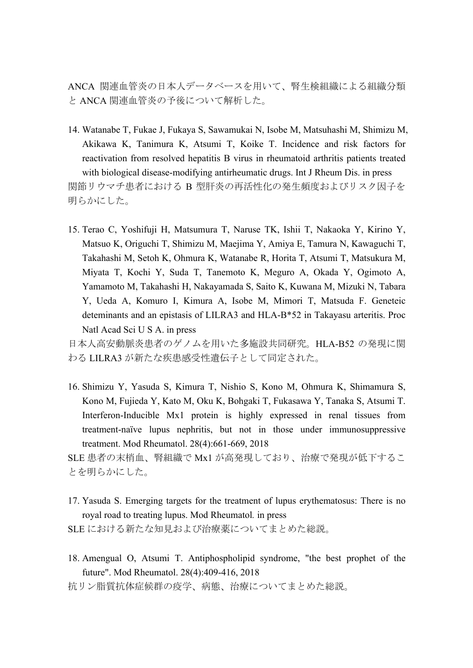ANCA 関連血管炎の日本人データベースを用いて、腎生検組織による組織分類 と ANCA 関連血管炎の予後について解析した。

- 14. Watanabe T, Fukae J, Fukaya S, Sawamukai N, Isobe M, Matsuhashi M, Shimizu M, Akikawa K, Tanimura K, Atsumi T, Koike T. Incidence and risk factors for reactivation from resolved hepatitis B virus in rheumatoid arthritis patients treated with biological disease-modifying antirheumatic drugs. Int J Rheum Dis. in press 関節リウマチ患者における B 型肝炎の再活性化の発生頻度およびリスク因子を 明らかにした。
- 15. Terao C, Yoshifuji H, Matsumura T, Naruse TK, Ishii T, Nakaoka Y, Kirino Y, Matsuo K, Origuchi T, Shimizu M, Maejima Y, Amiya E, Tamura N, Kawaguchi T, Takahashi M, Setoh K, Ohmura K, Watanabe R, Horita T, Atsumi T, Matsukura M, Miyata T, Kochi Y, Suda T, Tanemoto K, Meguro A, Okada Y, Ogimoto A, Yamamoto M, Takahashi H, Nakayamada S, Saito K, Kuwana M, Mizuki N, Tabara Y, Ueda A, Komuro I, Kimura A, Isobe M, Mimori T, Matsuda F. Geneteic deteminants and an epistasis of LILRA3 and HLA-B\*52 in Takayasu arteritis. Proc Natl Acad Sci U S A. in press

日本人高安動脈炎患者のゲノムを用いた多施設共同研究。HLA-B52 の発現に関 わる LILRA3 が新たな疾患感受性遺伝子として同定された。

16. Shimizu Y, Yasuda S, Kimura T, Nishio S, Kono M, Ohmura K, Shimamura S, Kono M, Fujieda Y, Kato M, Oku K, Bohgaki T, Fukasawa Y, Tanaka S, Atsumi T. Interferon-Inducible Mx1 protein is highly expressed in renal tissues from treatment-naïve lupus nephritis, but not in those under immunosuppressive treatment. Mod Rheumatol. 28(4):661-669, 2018

SLE 患者の末梢血、腎組織で Mx1 が高発現しており、治療で発現が低下するこ とを明らかにした。

17. Yasuda S. Emerging targets for the treatment of lupus erythematosus: There is no royal road to treating lupus. Mod Rheumatol*.* in press

SLE における新たな知見および治療薬についてまとめた総説。

- 18. Amengual O, Atsumi T. Antiphospholipid syndrome, "the best prophet of the future". Mod Rheumatol. 28(4):409-416, 2018
- 抗リン脂質抗体症候群の疫学、病態、治療についてまとめた総説。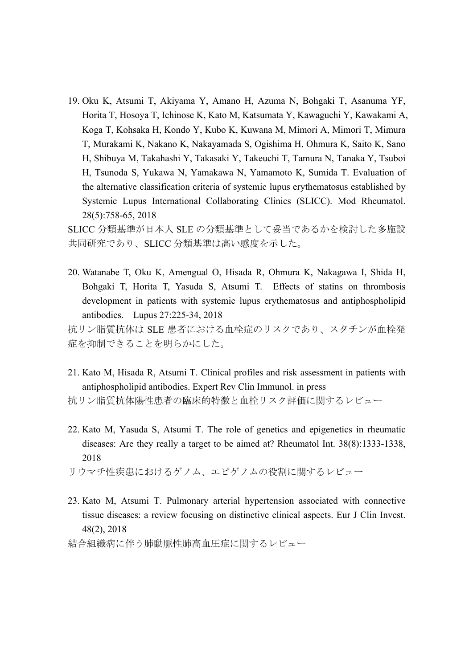19. Oku K, Atsumi T, Akiyama Y, Amano H, Azuma N, Bohgaki T, Asanuma YF, Horita T, Hosoya T, Ichinose K, Kato M, Katsumata Y, Kawaguchi Y, Kawakami A, Koga T, Kohsaka H, Kondo Y, Kubo K, Kuwana M, Mimori A, Mimori T, Mimura T, Murakami K, Nakano K, Nakayamada S, Ogishima H, Ohmura K, Saito K, Sano H, Shibuya M, Takahashi Y, Takasaki Y, Takeuchi T, Tamura N, Tanaka Y, Tsuboi H, Tsunoda S, Yukawa N, Yamakawa N, Yamamoto K, Sumida T. Evaluation of the alternative classification criteria of systemic lupus erythematosus established by Systemic Lupus International Collaborating Clinics (SLICC). Mod Rheumatol. 28(5):758-65, 2018

SLICC 分類基準が日本人 SLE の分類基準として妥当であるかを検討した多施設 共同研究であり、SLICC 分類基準は高い感度を示した。

20. Watanabe T, Oku K, Amengual O, Hisada R, Ohmura K, Nakagawa I, Shida H, Bohgaki T, Horita T, Yasuda S, Atsumi T. Effects of statins on thrombosis development in patients with systemic lupus erythematosus and antiphospholipid antibodies. Lupus 27:225-34, 2018

抗リン脂質抗体は SLE 患者における血栓症のリスクであり、スタチンが血栓発 症を抑制できることを明らかにした。

- 21. Kato M, Hisada R, Atsumi T. Clinical profiles and risk assessment in patients with antiphospholipid antibodies. Expert Rev Clin Immunol. in press
- 抗リン脂質抗体陽性患者の臨床的特徴と血栓リスク評価に関するレビュー
- 22. Kato M, Yasuda S, Atsumi T. The role of genetics and epigenetics in rheumatic diseases: Are they really a target to be aimed at? Rheumatol Int. 38(8):1333-1338, 2018
- リウマチ性疾患におけるゲノム、エピゲノムの役割に関するレビュー
- 23. Kato M, Atsumi T. Pulmonary arterial hypertension associated with connective tissue diseases: a review focusing on distinctive clinical aspects. Eur J Clin Invest. 48(2), 2018

結合組織病に伴う肺動脈性肺高血圧症に関するレビュー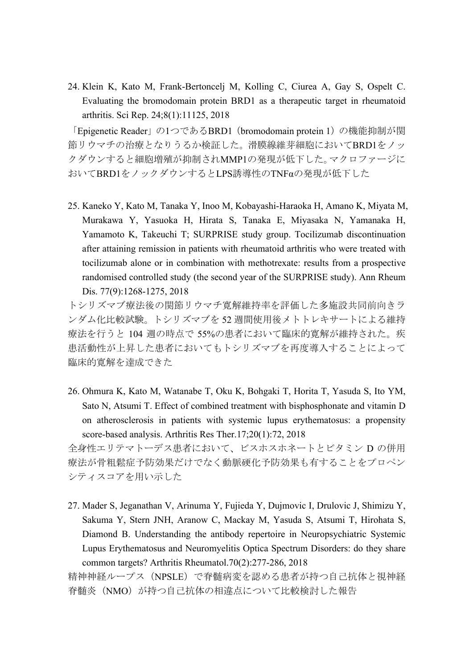24. Klein K, Kato M, Frank-Bertoncelj M, Kolling C, Ciurea A, Gay S, Ospelt C. Evaluating the bromodomain protein BRD1 as a therapeutic target in rheumatoid arthritis. Sci Rep. 24;8(1):11125, 2018

「Epigenetic Reader」の1つであるBRD1 (bromodomain protein 1) の機能抑制が関 節リウマチの治療となりうるか検証した。滑膜線維芽細胞においてBRD1をノッ クダウンすると細胞増殖が抑制されMMP1の発現が低下した。マクロファージに おいてBRD1をノックダウンするとLPS誘導性のTNFαの発現が低下した

25. Kaneko Y, Kato M, Tanaka Y, Inoo M, Kobayashi-Haraoka H, Amano K, Miyata M, Murakawa Y, Yasuoka H, Hirata S, Tanaka E, Miyasaka N, Yamanaka H, Yamamoto K, Takeuchi T; SURPRISE study group. Tocilizumab discontinuation after attaining remission in patients with rheumatoid arthritis who were treated with tocilizumab alone or in combination with methotrexate: results from a prospective randomised controlled study (the second year of the SURPRISE study). Ann Rheum Dis. 77(9):1268-1275, 2018

トシリズマブ療法後の関節リウマチ寛解維持率を評価した多施設共同前向きラ ンダム化比較試験。トシリズマブを 52 週間使用後メトトレキサートによる維持 療法を行うと 104 週の時点で 55%の患者において臨床的寛解が維持された。疾 患活動性が上昇した患者においてもトシリズマブを再度導入することによって 臨床的寛解を達成できた

26. Ohmura K, Kato M, Watanabe T, Oku K, Bohgaki T, Horita T, Yasuda S, Ito YM, Sato N, Atsumi T. Effect of combined treatment with bisphosphonate and vitamin D on atherosclerosis in patients with systemic lupus erythematosus: a propensity score-based analysis. Arthritis Res Ther.17;20(1):72, 2018

全身性エリテマトーデス患者において、ビスホスホネートとビタミン D の併用 療法が骨粗鬆症予防効果だけでなく動脈硬化予防効果も有することをプロペン シティスコアを用い示した

27. Mader S, Jeganathan V, Arinuma Y, Fujieda Y, Dujmovic I, Drulovic J, Shimizu Y, Sakuma Y, Stern JNH, Aranow C, Mackay M, Yasuda S, Atsumi T, Hirohata S, Diamond B. Understanding the antibody repertoire in Neuropsychiatric Systemic Lupus Erythematosus and Neuromyelitis Optica Spectrum Disorders: do they share common targets? Arthritis Rheumatol.70(2):277-286, 2018

精神神経ループス(NPSLE)で脊髄病変を認める患者が持つ自己抗体と視神経 脊髄炎(NMO)が持つ自己抗体の相違点について比較検討した報告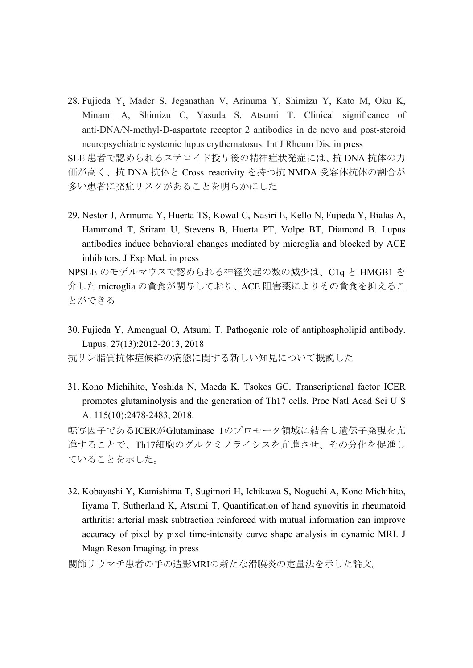28. Fujieda Y, Mader S, Jeganathan V, Arinuma Y, Shimizu Y, Kato M, Oku K, Minami A, Shimizu C, Yasuda S, Atsumi T. Clinical significance of anti-DNA/N-methyl-D-aspartate receptor 2 antibodies in de novo and post-steroid neuropsychiatric systemic lupus erythematosus. Int J Rheum Dis. in press

SLE 患者で認められるステロイド投与後の精神症状発症には、抗 DNA 抗体の力 価が高く、抗 DNA 抗体と Cross reactivity を持つ抗 NMDA 受容体抗体の割合が 多い患者に発症リスクがあることを明らかにした

29. Nestor J, Arinuma Y, Huerta TS, Kowal C, Nasiri E, Kello N, Fujieda Y, Bialas A, Hammond T, Sriram U, Stevens B, Huerta PT, Volpe BT, Diamond B. Lupus antibodies induce behavioral changes mediated by microglia and blocked by ACE inhibitors. J Exp Med. in press

NPSLE のモデルマウスで認められる神経突起の数の減少は、C1q と HMGB1 を 介した microglia の貪食が関与しており、ACE 阻害薬によりその貪食を抑えるこ とができる

- 30. Fujieda Y, Amengual O, Atsumi T. Pathogenic role of antiphospholipid antibody. Lupus. 27(13):2012-2013, 2018
- 抗リン脂質抗体症候群の病態に関する新しい知見について概説した
- 31. Kono Michihito, Yoshida N, Maeda K, Tsokos GC. Transcriptional factor ICER promotes glutaminolysis and the generation of Th17 cells. Proc Natl Acad Sci U S A. 115(10):2478-2483, 2018.

転写因子であるICERがGlutaminase 1のプロモータ領域に結合し遺伝子発現を亢 進することで、Th17細胞のグルタミノライシスを亢進させ、その分化を促進し ていることを示した。

32. Kobayashi Y, Kamishima T, Sugimori H, Ichikawa S, Noguchi A, Kono Michihito, Iiyama T, Sutherland K, Atsumi T, Quantification of hand synovitis in rheumatoid arthritis: arterial mask subtraction reinforced with mutual information can improve accuracy of pixel by pixel time-intensity curve shape analysis in dynamic MRI. J Magn Reson Imaging. in press

関節リウマチ患者の手の造影MRIの新たな滑膜炎の定量法を示した論文。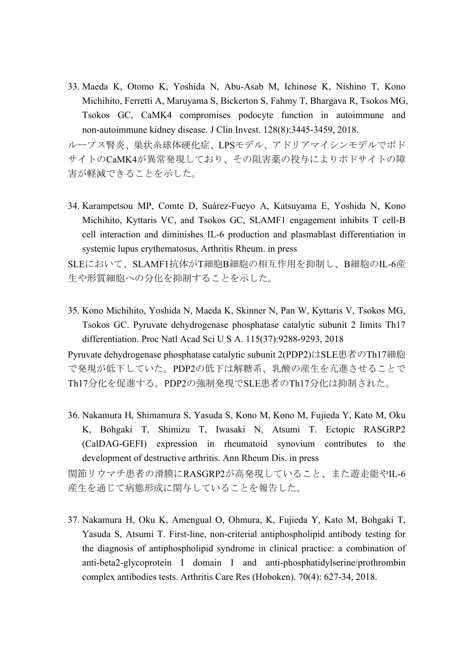33. Maeda K, Otomo K, Yoshida N, Abu-Asab M, Ichinose K, Nishino T, Kono Michihito, Ferretti A, Maruyama S, Bickerton S, Fahmy T, Bhargava R, Tsokos MG, Tsokos GC, CaMK4 compromises podocyte function in autoimmune and non-autoimmune kidney disease. J Clin Invest. 128(8):3445-3459, 2018.

ループス腎炎、巣状糸球体硬化症、LPSモデル、アドリアマイシンモデルでポド サイトのCaMK4が異常発現しており、その阻害薬の投与によりポドサイトの障 害が軽減できることを示した。

34. Karampetsou MP, Comte D, Suárez-Fueyo A, Katsuyama E, Yoshida N, Kono Michihito, Kyttaris VC, and Tsokos GC, SLAMF1 engagement inhibits T cell-B cell interaction and diminishes IL-6 production and plasmablast differentiation in systemic lupus erythematosus, Arthritis Rheum. in press

SLEにおいて、SLAMF1抗体がT細胞B細胞の相互作用を抑制し、B細胞のIL-6産 生や形質細胞への分化を抑制することを示した。

35. Kono Michihito, Yoshida N, Maeda K, Skinner N, Pan W, Kyttaris V, Tsokos MG, Tsokos GC. Pyruvate dehydrogenase phosphatase catalytic subunit 2 limits Th17 differentiation. Proc Natl Acad Sci U S A. 115(37):9288-9293, 2018

Pyruvate dehydrogenase phosphatase catalytic subunit 2(PDP2)はSLE患者のTh17細胞 で発現が低下していた。PDP2の低下は解糖系、乳酸の産生を亢進させることで Th17分化を促進する。PDP2の強制発現でSLE患者のTh17分化は抑制された。

36. Nakamura H, Shimamura S, Yasuda S, Kono M, Kono M, Fujieda Y, Kato M, Oku K, Bohgaki T, Shimizu T, Iwasaki N, Atsumi T. Ectopic RASGRP2 (CalDAG-GEFI) expression in rheumatoid synovium contributes to the development of destructive arthritis. Ann Rheum Dis. in press

関節リウマチ患者の滑膜にRASGRP2が高発現していること、また遊走能やIL-6 産生を通じて病態形成に関与していることを報告した。

37. Nakamura H, Oku K, Amengual O, Ohmura, K, Fujieda Y, Kato M, Bohgaki T, Yasuda S, Atsumi T. First-line, non-criterial antiphospholipid antibody testing for the diagnosis of antiphospholipid syndrome in clinical practice: a combination of anti-beta2-glycoprotein I domain I and anti-phosphatidylserine/prothrombin complex antibodies tests. Arthritis Care Res (Hoboken). 70(4): 627-34, 2018.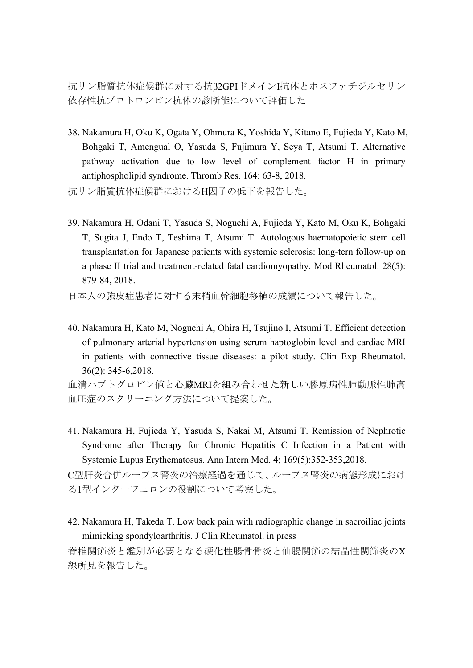抗リン脂質抗体症候群に対する抗β2GPIドメインI抗体とホスファチジルセリン 依存性抗プロトロンビン抗体の診断能について評価した

- 38. Nakamura H, Oku K, Ogata Y, Ohmura K, Yoshida Y, Kitano E, Fujieda Y, Kato M, Bohgaki T, Amengual O, Yasuda S, Fujimura Y, Seya T, Atsumi T. Alternative pathway activation due to low level of complement factor H in primary antiphospholipid syndrome. Thromb Res. 164: 63-8, 2018.
- 抗リン脂質抗体症候群におけるH因子の低下を報告した。
- 39. Nakamura H, Odani T, Yasuda S, Noguchi A, Fujieda Y, Kato M, Oku K, Bohgaki T, Sugita J, Endo T, Teshima T, Atsumi T. Autologous haematopoietic stem cell transplantation for Japanese patients with systemic sclerosis: long-tern follow-up on a phase II trial and treatment-related fatal cardiomyopathy. Mod Rheumatol. 28(5): 879-84, 2018.
- 日本人の強皮症患者に対する末梢血幹細胞移植の成績について報告した。
- 40. Nakamura H, Kato M, Noguchi A, Ohira H, Tsujino I, Atsumi T. Efficient detection of pulmonary arterial hypertension using serum haptoglobin level and cardiac MRI in patients with connective tissue diseases: a pilot study. Clin Exp Rheumatol. 36(2): 345-6,2018.

血清ハプトグロビン値と心臓MRIを組み合わせた新しい膠原病性肺動脈性肺高 血圧症のスクリーニング方法について提案した。

41. Nakamura H, Fujieda Y, Yasuda S, Nakai M, Atsumi T. Remission of Nephrotic Syndrome after Therapy for Chronic Hepatitis C Infection in a Patient with Systemic Lupus Erythematosus. Ann Intern Med. 4; 169(5):352-353,2018.

C型肝炎合併ループス腎炎の治療経過を通じて、ループス腎炎の病態形成におけ る1型インターフェロンの役割について考察した。

42. Nakamura H, Takeda T. Low back pain with radiographic change in sacroiliac joints mimicking spondyloarthritis. J Clin Rheumatol. in press

脊椎関節炎と鑑別が必要となる硬化性腸骨骨炎と仙腸関節の結晶性関節炎のX 線所見を報告した。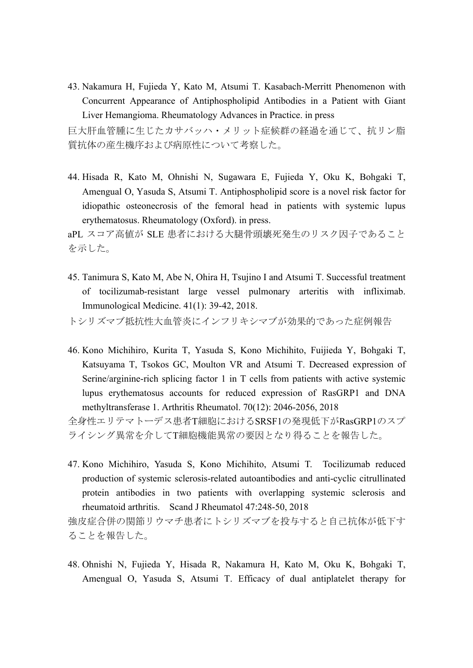43. Nakamura H, Fujieda Y, Kato M, Atsumi T. Kasabach-Merritt Phenomenon with Concurrent Appearance of Antiphospholipid Antibodies in a Patient with Giant Liver Hemangioma. Rheumatology Advances in Practice. in press

巨大肝血管腫に生じたカサバッハ・メリット症候群の経過を通じて、抗リン脂 質抗体の産生機序および病原性について考察した。

44. Hisada R, Kato M, Ohnishi N, Sugawara E, Fujieda Y, Oku K, Bohgaki T, Amengual O, Yasuda S, Atsumi T. Antiphospholipid score is a novel risk factor for idiopathic osteonecrosis of the femoral head in patients with systemic lupus erythematosus. Rheumatology (Oxford). in press.

aPL スコア高値が SLE 患者における大腿骨頭壊死発生のリスク因子であること を示した。

45. Tanimura S, Kato M, Abe N, Ohira H, Tsujino I and Atsumi T. Successful treatment of tocilizumab-resistant large vessel pulmonary arteritis with infliximab. Immunological Medicine. 41(1): 39-42, 2018.

トシリズマブ抵抗性大血管炎にインフリキシマブが効果的であった症例報告

46. Kono Michihiro, Kurita T, Yasuda S, Kono Michihito, Fuijieda Y, Bohgaki T, Katsuyama T, Tsokos GC, Moulton VR and Atsumi T. Decreased expression of Serine/arginine-rich splicing factor 1 in T cells from patients with active systemic lupus erythematosus accounts for reduced expression of RasGRP1 and DNA methyltransferase 1. Arthritis Rheumatol. 70(12): 2046-2056, 2018

全身性エリテマトーデス患者T細胞におけるSRSF1の発現低下がRasGRP1のスプ ライシング異常を介してT細胞機能異常の要因となり得ることを報告した。

47. Kono Michihiro, Yasuda S, Kono Michihito, Atsumi T. Tocilizumab reduced production of systemic sclerosis-related autoantibodies and anti-cyclic citrullinated protein antibodies in two patients with overlapping systemic sclerosis and rheumatoid arthritis. Scand J Rheumatol 47:248-50, 2018

強皮症合併の関節リウマチ患者にトシリズマブを投与すると自己抗体が低下す ることを報告した。

48. Ohnishi N, Fujieda Y, Hisada R, Nakamura H, Kato M, Oku K, Bohgaki T, Amengual O, Yasuda S, Atsumi T. Efficacy of dual antiplatelet therapy for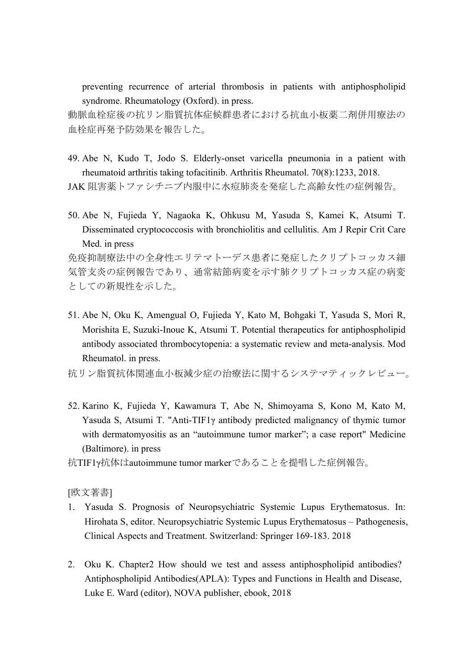preventing recurrence of arterial thrombosis in patients with antiphospholipid syndrome. Rheumatology (Oxford). in press.

動脈血栓症後の抗リン脂質抗体症候群患者における抗血小板薬二剤併用療法の 血栓症再発予防効果を報告した。

49. Abe N, Kudo T, Jodo S. Elderly-onset varicella pneumonia in a patient with rheumatoid arthritis taking tofacitinib. Arthritis Rheumatol. 70(8):1233, 2018.

JAK 阻害薬トファシチニブ内服中に水痘肺炎を発症した高齢女性の症例報告。

50. Abe N, Fujieda Y, Nagaoka K, Ohkusu M, Yasuda S, Kamei K, Atsumi T. Disseminated cryptococcosis with bronchiolitis and cellulitis. Am J Repir Crit Care Med. in press

免疫抑制療法中の全身性エリテマトーデス患者に発症したクリプトコッカス細 気管支炎の症例報告であり、通常結節病変を示す肺クリプトコッカス症の病変 としての新規性を示した。

51. Abe N, Oku K, Amengual O, Fujieda Y, Kato M, Bohgaki T, Yasuda S, Mori R, Morishita E, Suzuki-Inoue K, Atsumi T. Potential therapeutics for antiphospholipid antibody associated thrombocytopenia: a systematic review and meta-analysis. Mod Rheumatol. in press.

抗リン脂質抗体関連血小板減少症の治療法に関するシステマティックレビュー。

- 52. Karino K, Fujieda Y, Kawamura T, Abe N, Shimoyama S, Kono M, Kato M, Yasuda S, Atsumi T. "Anti-TIF1γ antibody predicted malignancy of thymic tumor with dermatomyositis as an "autoimmune tumor marker"; a case report" Medicine (Baltimore). in press
- 抗TIF1γ抗体はautoimmune tumor markerであることを提唱した症例報告。

[欧文著書]

- 1. Yasuda S. Prognosis of Neuropsychiatric Systemic Lupus Erythematosus. In: Hirohata S, editor. Neuropsychiatric Systemic Lupus Erythematosus – Pathogenesis, Clinical Aspects and Treatment. Switzerland: Springer 169-183. 2018
- 2. Oku K. Chapter2 How should we test and assess antiphospholipid antibodies? Antiphospholipid Antibodies(APLA): Types and Functions in Health and Disease, Luke E. Ward (editor), NOVA publisher, ebook, 2018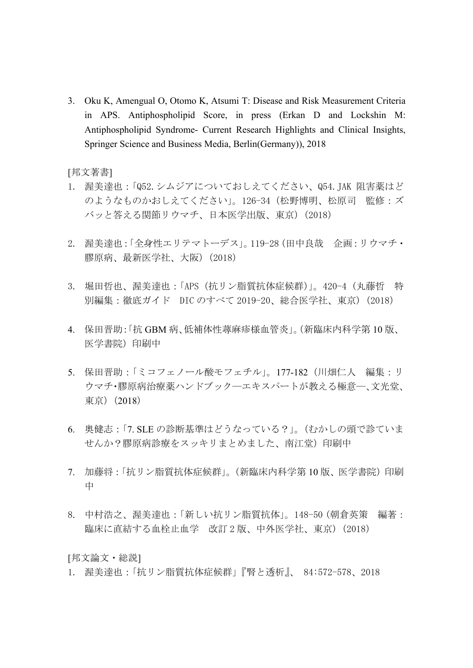3. Oku K, Amengual O, Otomo K, Atsumi T: Disease and Risk Measurement Criteria in APS. Antiphospholipid Score, in press (Erkan D and Lockshin M: Antiphospholipid Syndrome- Current Research Highlights and Clinical Insights, Springer Science and Business Media, Berlin(Germany)), 2018

[邦文著書]

- 1. 渥美達也:「Q52.シムジアについておしえてください、Q54.JAK 阻害薬はど のようなものかおしえてください」。126-34(松野博明、松原司 監修:ズ バッと答える関節リウマチ、日本医学出版、東京)(2018)
- 2. 渥美達也:「全身性エリテマトーデス」。119-28(田中良哉 企画:リウマチ・ 膠原病、最新医学社、大阪)(2018)
- 3. 堀田哲也、渥美達也:「APS (抗リン脂質抗体症候群)」。420-4 (丸藤哲 特 別編集:徹底ガイド DIC のすべて 2019-20、総合医学社、東京) (2018)
- 4. 保田晋助:「抗 GBM 病、低補体性蕁麻疹様血管炎」。(新臨床内科学第 10 版、 医学書院)印刷中
- 5. 保田晋助:「ミコフェノール酸モフェチル」。177-182(川畑仁人 編集:リ ウマチ・膠原病治療薬ハンドブック―エキスパートが教える極意―、文光堂、 東京)(2018)
- 6. 奥健志:「7. SLE の診断基準はどうなっている?」。(むかしの頭で診ていま せんか?膠原病診療をスッキリまとめました、南江堂)印刷中
- 7. 加藤将:「抗リン脂質抗体症候群」。(新臨床内科学第 10 版、医学書院)印刷 中
- 8. 中村浩之、渥美達也:「新しい抗リン脂質抗体」。148-50 (朝倉英策 編著: 臨床に直結する血栓止血学 改訂 2 版、中外医学社、東京)(2018)

[邦文論文・総説]

1. 渥美達也:「抗リン脂質抗体症候群」『腎と透析』、 84:572-578、2018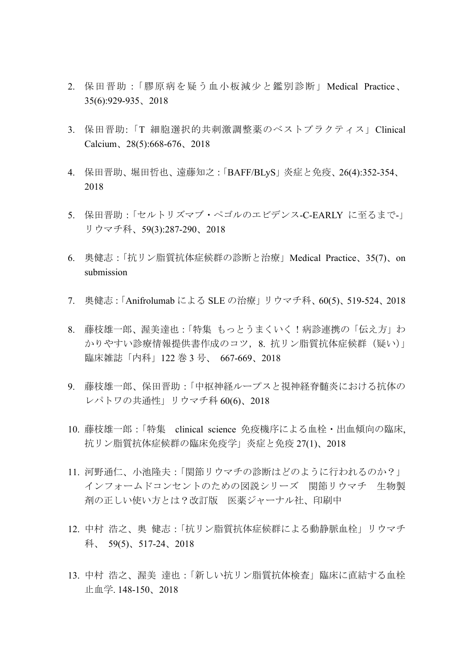- 2. 保田晋助:「膠原病を疑う血小板減少と鑑別診断」Medical Practice、 35(6):929-935、2018
- 3. 保田晋助:「T 細胞選択的共刺激調整薬のベストプラクティス」Clinical Calcium、28(5):668-676、2018
- 4. 保田晋助、堀田哲也、遠藤知之:「BAFF/BLyS」炎症と免疫、26(4):352-354、 2018
- 5. 保田晋助:「セルトリズマブ・ペゴルのエビデンス-C-EARLY に至るまで-」 リウマチ科、59(3):287-290、2018
- 6. 奥健志:「抗リン脂質抗体症候群の診断と治療」Medical Practice、35(7)、on submission
- 7. 奥健志:「Anifrolumab による SLE の治療」リウマチ科、60(5)、519-524、2018
- 8. 藤枝雄一郎、渥美達也:「特集 もっとうまくいく!病診連携の「伝え方」わ かりやすい診療情報提供書作成のコツ, 8. 抗リン脂質抗体症候群(疑い)」 臨床雑誌「内科」122 巻 3 号、 667-669、2018
- 9. 藤枝雄一郎、保田晋助:「中枢神経ループスと視神経脊髄炎における抗体の レパトワの共通性」リウマチ科 60(6)、2018
- 10. 藤枝雄一郎:「特集 clinical science 免疫機序による血栓・出血傾向の臨床, 抗リン脂質抗体症候群の臨床免疫学」炎症と免疫 27(1)、2018
- 11. 河野通仁、小池隆夫:「関節リウマチの診断はどのように行われるのか?」 インフォームドコンセントのための図説シリーズ 関節リウマチ 生物製 剤の正しい使い方とは?改訂版 医薬ジャーナル社、印刷中
- 12. 中村 浩之、奥 健志:「抗リン脂質抗体症候群による動静脈血栓」リウマチ 科、 59(5)、517-24、2018
- 13. 中村 浩之、渥美 達也:「新しい抗リン脂質抗体検査」臨床に直結する血栓 止血学. 148-150、2018